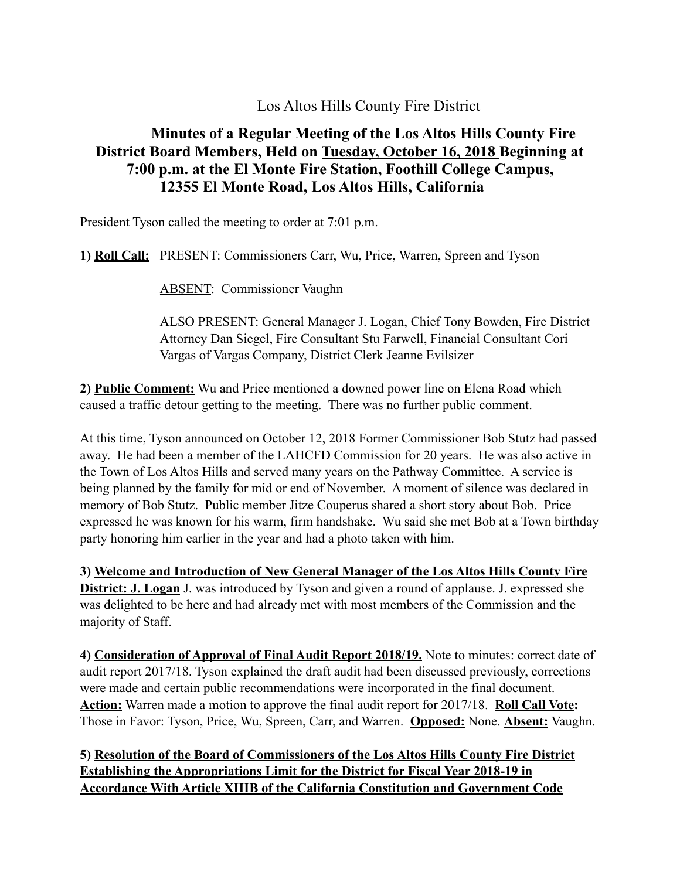Los Altos Hills County Fire District

## **Minutes of a Regular Meeting of the Los Altos Hills County Fire District Board Members, Held on Tuesday, October 16, 2018 Beginning at 7:00 p.m. at the El Monte Fire Station, Foothill College Campus, 12355 El Monte Road, Los Altos Hills, California**

President Tyson called the meeting to order at 7:01 p.m.

**1) Roll Call:** PRESENT: Commissioners Carr, Wu, Price, Warren, Spreen and Tyson

ABSENT: Commissioner Vaughn

ALSO PRESENT: General Manager J. Logan, Chief Tony Bowden, Fire District Attorney Dan Siegel, Fire Consultant Stu Farwell, Financial Consultant Cori Vargas of Vargas Company, District Clerk Jeanne Evilsizer

**2) Public Comment:** Wu and Price mentioned a downed power line on Elena Road which caused a traffic detour getting to the meeting. There was no further public comment.

At this time, Tyson announced on October 12, 2018 Former Commissioner Bob Stutz had passed away. He had been a member of the LAHCFD Commission for 20 years. He was also active in the Town of Los Altos Hills and served many years on the Pathway Committee. A service is being planned by the family for mid or end of November. A moment of silence was declared in memory of Bob Stutz. Public member Jitze Couperus shared a short story about Bob. Price expressed he was known for his warm, firm handshake. Wu said she met Bob at a Town birthday party honoring him earlier in the year and had a photo taken with him.

**3) Welcome and Introduction of New General Manager of the Los Altos Hills County Fire District: J. Logan** J. was introduced by Tyson and given a round of applause. J. expressed she was delighted to be here and had already met with most members of the Commission and the majority of Staff.

**4) Consideration of Approval of Final Audit Report 2018/19.** Note to minutes: correct date of audit report 2017/18. Tyson explained the draft audit had been discussed previously, corrections were made and certain public recommendations were incorporated in the final document. **Action:** Warren made a motion to approve the final audit report for 2017/18. **Roll Call Vote:**  Those in Favor: Tyson, Price, Wu, Spreen, Carr, and Warren. **Opposed:** None. **Absent:** Vaughn.

**5) Resolution of the Board of Commissioners of the Los Altos Hills County Fire District Establishing the Appropriations Limit for the District for Fiscal Year 2018-19 in Accordance With Article XIIIB of the California Constitution and Government Code**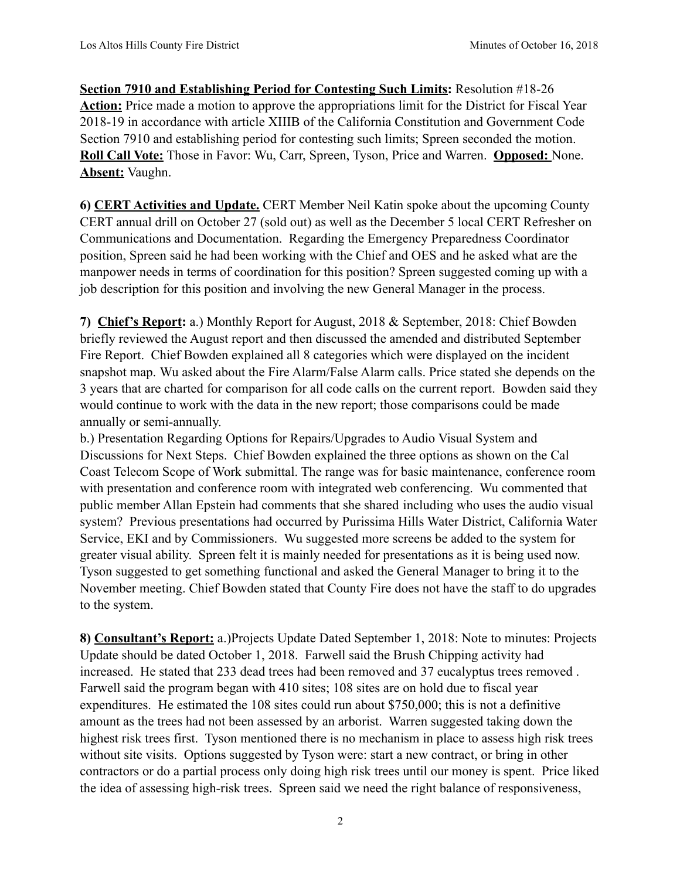**Section 7910 and Establishing Period for Contesting Such Limits:** Resolution #18-26 Action: Price made a motion to approve the appropriations limit for the District for Fiscal Year 2018-19 in accordance with article XIIIB of the California Constitution and Government Code Section 7910 and establishing period for contesting such limits; Spreen seconded the motion. **Roll Call Vote:** Those in Favor: Wu, Carr, Spreen, Tyson, Price and Warren. **Opposed:** None. **Absent:** Vaughn.

**6) CERT Activities and Update.** CERT Member Neil Katin spoke about the upcoming County CERT annual drill on October 27 (sold out) as well as the December 5 local CERT Refresher on Communications and Documentation. Regarding the Emergency Preparedness Coordinator position, Spreen said he had been working with the Chief and OES and he asked what are the manpower needs in terms of coordination for this position? Spreen suggested coming up with a job description for this position and involving the new General Manager in the process.

**7) Chief's Report:** a.) Monthly Report for August, 2018 & September, 2018: Chief Bowden briefly reviewed the August report and then discussed the amended and distributed September Fire Report. Chief Bowden explained all 8 categories which were displayed on the incident snapshot map. Wu asked about the Fire Alarm/False Alarm calls. Price stated she depends on the 3 years that are charted for comparison for all code calls on the current report. Bowden said they would continue to work with the data in the new report; those comparisons could be made annually or semi-annually.

b.) Presentation Regarding Options for Repairs/Upgrades to Audio Visual System and Discussions for Next Steps. Chief Bowden explained the three options as shown on the Cal Coast Telecom Scope of Work submittal. The range was for basic maintenance, conference room with presentation and conference room with integrated web conferencing. Wu commented that public member Allan Epstein had comments that she shared including who uses the audio visual system? Previous presentations had occurred by Purissima Hills Water District, California Water Service, EKI and by Commissioners. Wu suggested more screens be added to the system for greater visual ability. Spreen felt it is mainly needed for presentations as it is being used now. Tyson suggested to get something functional and asked the General Manager to bring it to the November meeting. Chief Bowden stated that County Fire does not have the staff to do upgrades to the system.

**8) Consultant's Report:** a.)Projects Update Dated September 1, 2018: Note to minutes: Projects Update should be dated October 1, 2018. Farwell said the Brush Chipping activity had increased. He stated that 233 dead trees had been removed and 37 eucalyptus trees removed . Farwell said the program began with 410 sites; 108 sites are on hold due to fiscal year expenditures. He estimated the 108 sites could run about \$750,000; this is not a definitive amount as the trees had not been assessed by an arborist. Warren suggested taking down the highest risk trees first. Tyson mentioned there is no mechanism in place to assess high risk trees without site visits. Options suggested by Tyson were: start a new contract, or bring in other contractors or do a partial process only doing high risk trees until our money is spent. Price liked the idea of assessing high-risk trees. Spreen said we need the right balance of responsiveness,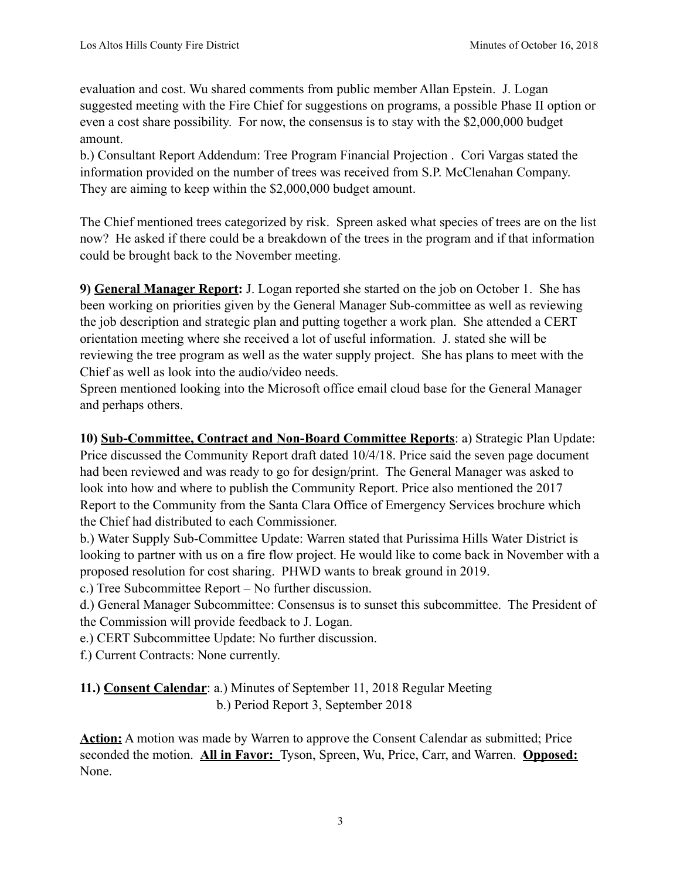evaluation and cost. Wu shared comments from public member Allan Epstein. J. Logan suggested meeting with the Fire Chief for suggestions on programs, a possible Phase II option or even a cost share possibility. For now, the consensus is to stay with the \$2,000,000 budget amount.

b.) Consultant Report Addendum: Tree Program Financial Projection . Cori Vargas stated the information provided on the number of trees was received from S.P. McClenahan Company. They are aiming to keep within the \$2,000,000 budget amount.

The Chief mentioned trees categorized by risk. Spreen asked what species of trees are on the list now? He asked if there could be a breakdown of the trees in the program and if that information could be brought back to the November meeting.

**9) General Manager Report:** J. Logan reported she started on the job on October 1. She has been working on priorities given by the General Manager Sub-committee as well as reviewing the job description and strategic plan and putting together a work plan. She attended a CERT orientation meeting where she received a lot of useful information. J. stated she will be reviewing the tree program as well as the water supply project. She has plans to meet with the Chief as well as look into the audio/video needs.

Spreen mentioned looking into the Microsoft office email cloud base for the General Manager and perhaps others.

**10) Sub-Committee, Contract and Non-Board Committee Reports**: a) Strategic Plan Update: Price discussed the Community Report draft dated 10/4/18. Price said the seven page document had been reviewed and was ready to go for design/print. The General Manager was asked to look into how and where to publish the Community Report. Price also mentioned the 2017 Report to the Community from the Santa Clara Office of Emergency Services brochure which the Chief had distributed to each Commissioner.

b.) Water Supply Sub-Committee Update: Warren stated that Purissima Hills Water District is looking to partner with us on a fire flow project. He would like to come back in November with a proposed resolution for cost sharing. PHWD wants to break ground in 2019.

c.) Tree Subcommittee Report – No further discussion.

d.) General Manager Subcommittee: Consensus is to sunset this subcommittee. The President of the Commission will provide feedback to J. Logan.

e.) CERT Subcommittee Update: No further discussion.

f.) Current Contracts: None currently.

**11.) Consent Calendar**: a.) Minutes of September 11, 2018 Regular Meeting b.) Period Report 3, September 2018

**Action:** A motion was made by Warren to approve the Consent Calendar as submitted; Price seconded the motion. **All in Favor:** Tyson, Spreen, Wu, Price, Carr, and Warren. **Opposed:** None.